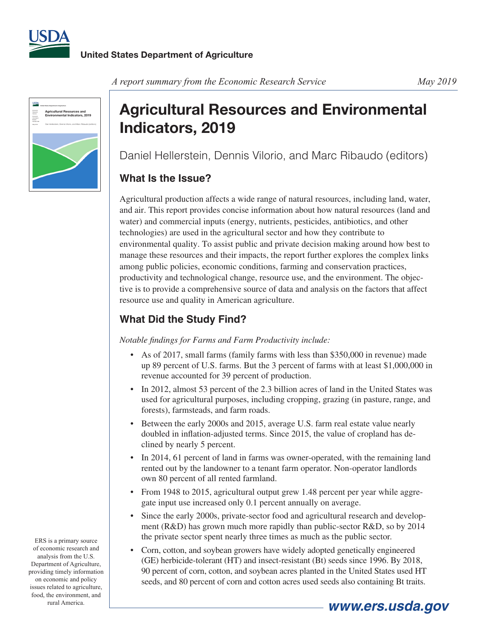



#### *A report summary from the Economic Research Service May 2019*

# **Agricultural Resources and Environmental Indicators, 2019**

Daniel Hellerstein, Dennis Vilorio, and Marc Ribaudo (editors)

### **What Is the Issue?**

Agricultural production affects a wide range of natural resources, including land, water, and air. This report provides concise information about how natural resources (land and water) and commercial inputs (energy, nutrients, pesticides, antibiotics, and other technologies) are used in the agricultural sector and how they contribute to environmental quality. To assist public and private decision making around how best to manage these resources and their impacts, the report further explores the complex links among public policies, economic conditions, farming and conservation practices, productivity and technological change, resource use, and the environment. The objective is to provide a comprehensive source of data and analysis on the factors that affect resource use and quality in American agriculture.

# **What Did the Study Find?**

*Notable findings for Farms and Farm Productivity include:* 

- As of 2017, small farms (family farms with less than \$350,000 in revenue) made up 89 percent of U.S. farms. But the 3 percent of farms with at least \$1,000,000 in revenue accounted for 39 percent of production.
- In 2012, almost 53 percent of the 2.3 billion acres of land in the United States was used for agricultural purposes, including cropping, grazing (in pasture, range, and forests), farmsteads, and farm roads.
- Between the early 2000s and 2015, average U.S. farm real estate value nearly doubled in inflation-adjusted terms. Since 2015, the value of cropland has declined by nearly 5 percent.
- In 2014, 61 percent of land in farms was owner-operated, with the remaining land rented out by the landowner to a tenant farm operator. Non-operator landlords own 80 percent of all rented farmland.
- From 1948 to 2015, agricultural output grew 1.48 percent per year while aggregate input use increased only 0.1 percent annually on average.
- Since the early 2000s, private-sector food and agricultural research and development (R&D) has grown much more rapidly than public-sector R&D, so by 2014 the private sector spent nearly three times as much as the public sector.
- Corn, cotton, and soybean growers have widely adopted genetically engineered (GE) herbicide-tolerant (HT) and insect-resistant (Bt) seeds since 1996. By 2018, 90 percent of corn, cotton, and soybean acres planted in the United States used HT seeds, and 80 percent of corn and cotton acres used seeds also containing Bt traits.

ERS is a primary source of economic research and analysis from the U.S. Department of Agriculture, providing timely information on economic and policy issues related to agriculture, food, the environment, and rural America.